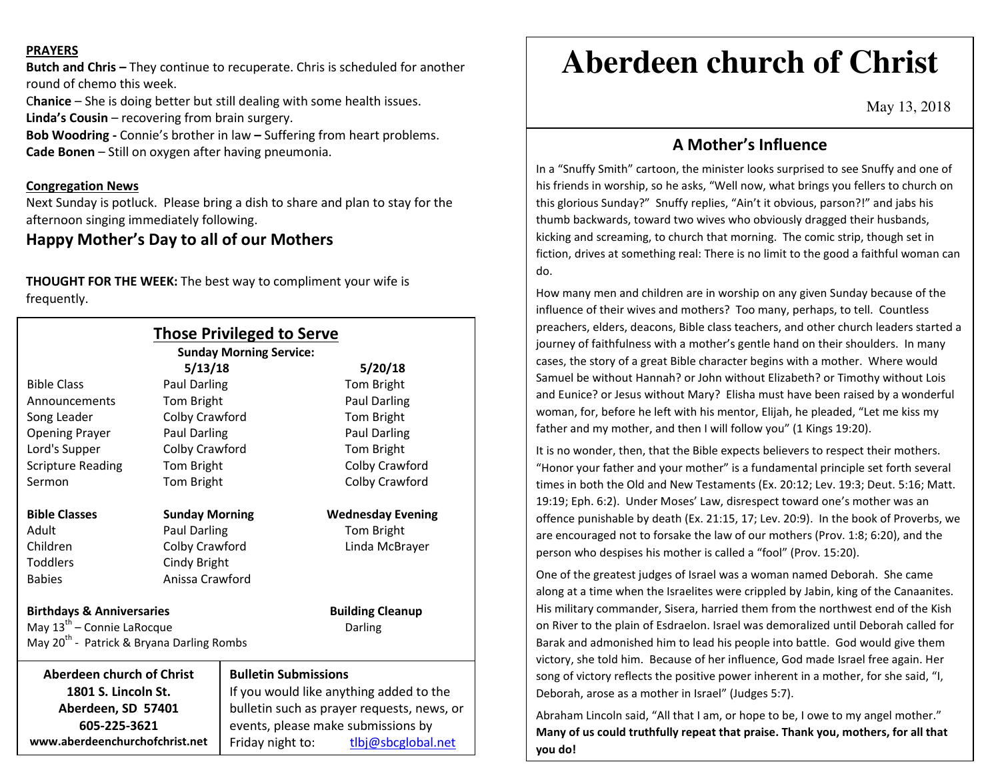### **PRAYERS**

**Butch and Chris –** They continue to recuperate. Chris is scheduled for another round of chemo this week.

C**hanice** – She is doing better but still dealing with some health issues.

**Linda's Cousin** – recovering from brain surgery.

**Bob Woodring -** Connie's brother in law **–** Suffering from heart problems.**Cade Bonen** – Still on oxygen after having pneumonia.

## **Congregation News**

 Next Sunday is potluck. Please bring a dish to share and plan to stay for the afternoon singing immediately following.

## **Happy Mother's Day to all of our Mothers**

**THOUGHT FOR THE WEEK:** The best way to compliment your wife is frequently.

| <b>Those Privileged to Serve</b><br><b>Sunday Morning Service:</b> |                       |                                            |                          |
|--------------------------------------------------------------------|-----------------------|--------------------------------------------|--------------------------|
|                                                                    | 5/13/18               |                                            | 5/20/18                  |
| <b>Bible Class</b>                                                 | Paul Darling          |                                            | Tom Bright               |
| Announcements                                                      | Tom Bright            |                                            | Paul Darling             |
| Song Leader                                                        | Colby Crawford        |                                            | Tom Bright               |
| <b>Opening Prayer</b>                                              | Paul Darling          |                                            | Paul Darling             |
| Lord's Supper                                                      | Colby Crawford        |                                            | Tom Bright               |
| <b>Scripture Reading</b>                                           | Tom Bright            |                                            | Colby Crawford           |
| Sermon                                                             | Tom Bright            |                                            | Colby Crawford           |
| <b>Bible Classes</b>                                               | <b>Sunday Morning</b> |                                            | <b>Wednesday Evening</b> |
| Adult                                                              | <b>Paul Darling</b>   |                                            | Tom Bright               |
| Children                                                           | Colby Crawford        |                                            | Linda McBrayer           |
| <b>Toddlers</b>                                                    | Cindy Bright          |                                            |                          |
| <b>Babies</b>                                                      | Anissa Crawford       |                                            |                          |
| <b>Birthdays &amp; Anniversaries</b>                               |                       |                                            | <b>Building Cleanup</b>  |
| May 13 <sup>th</sup> - Connie LaRocque                             |                       |                                            | Darling                  |
| May 20 <sup>th</sup> - Patrick & Bryana Darling Rombs              |                       |                                            |                          |
| <b>Aberdeen church of Christ</b>                                   |                       | <b>Bulletin Submissions</b>                |                          |
| 1801 S. Lincoln St.                                                |                       | If you would like anything added to the    |                          |
| Aberdeen, SD 57401                                                 |                       | bulletin such as prayer requests, news, or |                          |
| 605-225-3621                                                       |                       | events, please make submissions by         |                          |
| www.aberdeenchurchofchrist.net                                     |                       | Friday night to:                           | tlbj@sbcglobal.net       |

# **Aberdeen church of Christ**

May 13, 2018

## **A Mother's Influence**

In a "Snuffy Smith" cartoon, the minister looks surprised to see Snuffy and one of his friends in worship, so he asks, "Well now, what brings you fellers to church on this glorious Sunday?" Snuffy replies, "Ain't it obvious, parson?!" and jabs his thumb backwards, toward two wives who obviously dragged their husbands, kicking and screaming, to church that morning. The comic strip, though set in fiction, drives at something real: There is no limit to the good a faithful woman can do.

How many men and children are in worship on any given Sunday because of the influence of their wives and mothers? Too many, perhaps, to tell. Countless preachers, elders, deacons, Bible class teachers, and other church leaders started a journey of faithfulness with a mother's gentle hand on their shoulders. In many cases, the story of a great Bible character begins with a mother. Where would Samuel be without Hannah? or John without Elizabeth? or Timothy without Lois and Eunice? or Jesus without Mary? Elisha must have been raised by a wonderful woman, for, before he left with his mentor, Elijah, he pleaded, "Let me kiss my father and my mother, and then I will follow you" (1 Kings 19:20).

It is no wonder, then, that the Bible expects believers to respect their mothers. "Honor your father and your mother" is a fundamental principle set forth several times in both the Old and New Testaments (Ex. 20:12; Lev. 19:3; Deut. 5:16; Matt. 19:19; Eph. 6:2). Under Moses' Law, disrespect toward one's mother was an offence punishable by death (Ex. 21:15, 17; Lev. 20:9). In the book of Proverbs, we are encouraged not to forsake the law of our mothers (Prov. 1:8; 6:20), and the person who despises his mother is called a "fool" (Prov. 15:20).

One of the greatest judges of Israel was a woman named Deborah. She came along at a time when the Israelites were crippled by Jabin, king of the Canaanites. His military commander, Sisera, harried them from the northwest end of the Kish on River to the plain of Esdraelon. Israel was demoralized until Deborah called for Barak and admonished him to lead his people into battle. God would give them victory, she told him. Because of her influence, God made Israel free again. Her song of victory reflects the positive power inherent in a mother, for she said, "I, Deborah, arose as a mother in Israel" (Judges 5:7).

Abraham Lincoln said, "All that I am, or hope to be, I owe to my angel mother." **Many of us could truthfully repeat that praise. Thank you, mothers, for all that you do!**